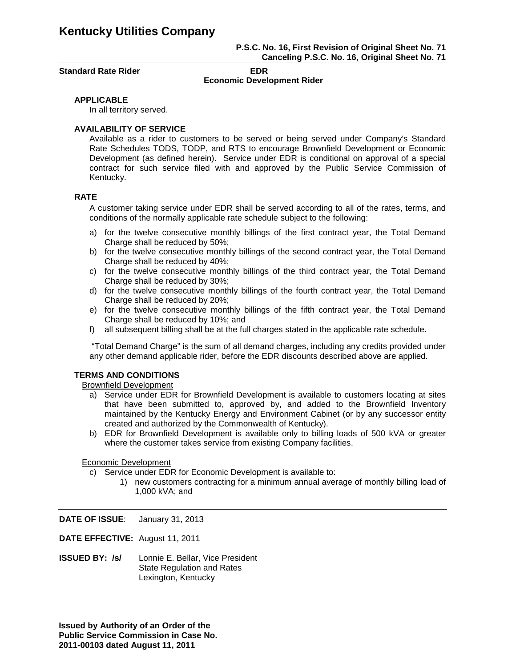### **P.S.C. No. 16, First Revision of Original Sheet No. 71 Canceling P.S.C. No. 16, Original Sheet No. 71**

**Standard Rate Rider EDR** 

# **Economic Development Rider**

### **APPLICABLE**

In all territory served.

## **AVAILABILITY OF SERVICE**

Available as a rider to customers to be served or being served under Company's Standard Rate Schedules TODS, TODP, and RTS to encourage Brownfield Development or Economic Development (as defined herein). Service under EDR is conditional on approval of a special contract for such service filed with and approved by the Public Service Commission of Kentucky.

### **RATE**

A customer taking service under EDR shall be served according to all of the rates, terms, and conditions of the normally applicable rate schedule subject to the following:

- a) for the twelve consecutive monthly billings of the first contract year, the Total Demand Charge shall be reduced by 50%:
- b) for the twelve consecutive monthly billings of the second contract year, the Total Demand Charge shall be reduced by 40%;
- c) for the twelve consecutive monthly billings of the third contract year, the Total Demand Charge shall be reduced by 30%;
- d) for the twelve consecutive monthly billings of the fourth contract year, the Total Demand Charge shall be reduced by 20%;
- e) for the twelve consecutive monthly billings of the fifth contract year, the Total Demand Charge shall be reduced by 10%; and
- f) all subsequent billing shall be at the full charges stated in the applicable rate schedule.

"Total Demand Charge" is the sum of all demand charges, including any credits provided under any other demand applicable rider, before the EDR discounts described above are applied.

### **TERMS AND CONDITIONS**

Brownfield Development

- a) Service under EDR for Brownfield Development is available to customers locating at sites that have been submitted to, approved by, and added to the Brownfield Inventory maintained by the Kentucky Energy and Environment Cabinet (or by any successor entity created and authorized by the Commonwealth of Kentucky).
- b) EDR for Brownfield Development is available only to billing loads of 500 kVA or greater where the customer takes service from existing Company facilities.

### Economic Development

- c) Service under EDR for Economic Development is available to:
	- 1) new customers contracting for a minimum annual average of monthly billing load of 1,000 kVA; and

**DATE OF ISSUE**: January 31, 2013

**DATE EFFECTIVE:** August 11, 2011

**ISSUED BY: /s/** Lonnie E. Bellar, Vice President State Regulation and Rates Lexington, Kentucky

**Issued by Authority of an Order of the Public Service Commission in Case No. 2011-00103 dated August 11, 2011**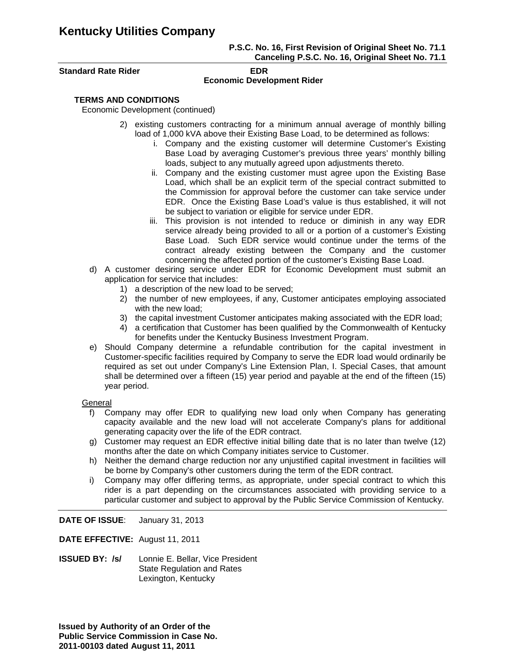# **Kentucky Utilities Company**

### **P.S.C. No. 16, First Revision of Original Sheet No. 71.1 Canceling P.S.C. No. 16, Original Sheet No. 71.1**

**Standard Rate Rider EDR** 

# **Economic Development Rider**

## **TERMS AND CONDITIONS**

Economic Development (continued)

- 2) existing customers contracting for a minimum annual average of monthly billing load of 1,000 kVA above their Existing Base Load, to be determined as follows:
	- i. Company and the existing customer will determine Customer's Existing Base Load by averaging Customer's previous three years' monthly billing loads, subject to any mutually agreed upon adjustments thereto.
	- ii. Company and the existing customer must agree upon the Existing Base Load, which shall be an explicit term of the special contract submitted to the Commission for approval before the customer can take service under EDR. Once the Existing Base Load's value is thus established, it will not be subject to variation or eligible for service under EDR.
	- iii. This provision is not intended to reduce or diminish in any way EDR service already being provided to all or a portion of a customer's Existing Base Load. Such EDR service would continue under the terms of the contract already existing between the Company and the customer concerning the affected portion of the customer's Existing Base Load.
- d) A customer desiring service under EDR for Economic Development must submit an application for service that includes:
	- 1) a description of the new load to be served;
	- 2) the number of new employees, if any, Customer anticipates employing associated with the new load;
	- 3) the capital investment Customer anticipates making associated with the EDR load;
	- 4) a certification that Customer has been qualified by the Commonwealth of Kentucky for benefits under the Kentucky Business Investment Program.
- e) Should Company determine a refundable contribution for the capital investment in Customer-specific facilities required by Company to serve the EDR load would ordinarily be required as set out under Company's Line Extension Plan, I. Special Cases, that amount shall be determined over a fifteen (15) year period and payable at the end of the fifteen (15) year period.

### General

- f) Company may offer EDR to qualifying new load only when Company has generating capacity available and the new load will not accelerate Company's plans for additional generating capacity over the life of the EDR contract.
- g) Customer may request an EDR effective initial billing date that is no later than twelve (12) months after the date on which Company initiates service to Customer.
- h) Neither the demand charge reduction nor any unjustified capital investment in facilities will be borne by Company's other customers during the term of the EDR contract.
- i) Company may offer differing terms, as appropriate, under special contract to which this rider is a part depending on the circumstances associated with providing service to a particular customer and subject to approval by the Public Service Commission of Kentucky.

**DATE OF ISSUE**: January 31, 2013

**DATE EFFECTIVE:** August 11, 2011

**ISSUED BY: /s/** Lonnie E. Bellar, Vice President State Regulation and Rates Lexington, Kentucky

**Issued by Authority of an Order of the Public Service Commission in Case No. 2011-00103 dated August 11, 2011**